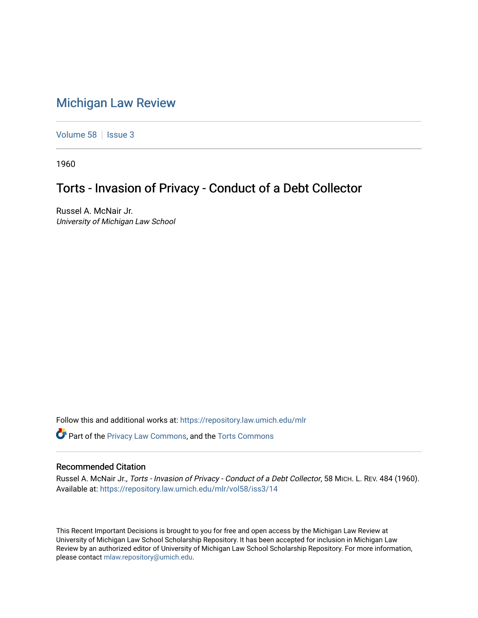## [Michigan Law Review](https://repository.law.umich.edu/mlr)

[Volume 58](https://repository.law.umich.edu/mlr/vol58) | [Issue 3](https://repository.law.umich.edu/mlr/vol58/iss3)

1960

## Torts - Invasion of Privacy - Conduct of a Debt Collector

Russel A. McNair Jr. University of Michigan Law School

Follow this and additional works at: [https://repository.law.umich.edu/mlr](https://repository.law.umich.edu/mlr?utm_source=repository.law.umich.edu%2Fmlr%2Fvol58%2Fiss3%2F14&utm_medium=PDF&utm_campaign=PDFCoverPages) 

**C** Part of the [Privacy Law Commons,](http://network.bepress.com/hgg/discipline/1234?utm_source=repository.law.umich.edu%2Fmlr%2Fvol58%2Fiss3%2F14&utm_medium=PDF&utm_campaign=PDFCoverPages) and the Torts Commons

## Recommended Citation

Russel A. McNair Jr., Torts - Invasion of Privacy - Conduct of a Debt Collector, 58 MICH. L. REV. 484 (1960). Available at: [https://repository.law.umich.edu/mlr/vol58/iss3/14](https://repository.law.umich.edu/mlr/vol58/iss3/14?utm_source=repository.law.umich.edu%2Fmlr%2Fvol58%2Fiss3%2F14&utm_medium=PDF&utm_campaign=PDFCoverPages) 

This Recent Important Decisions is brought to you for free and open access by the Michigan Law Review at University of Michigan Law School Scholarship Repository. It has been accepted for inclusion in Michigan Law Review by an authorized editor of University of Michigan Law School Scholarship Repository. For more information, please contact [mlaw.repository@umich.edu.](mailto:mlaw.repository@umich.edu)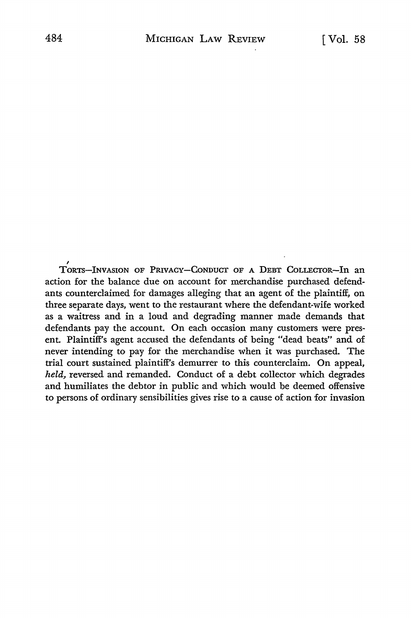<sup>/</sup>
TORTS-INVASION OF PRIVACY-CONDUCT OF A DEBT COLLECTOR-In an action for the balance due on account for merchandise purchased defendants counterclaimed for damages alleging that an agent of the plaintiff, on three separate days, went to the restaurant where the defendant-wife worked as a waitress and in a loud and degrading manner made demands that defendants pay the account. On each occasion many customers were present. Plaintiff's agent accused the defendants of being "dead beats" and of never intending to pay for the merchandise when it was purchased. The trial court sustained plaintiff's demurrer to this counterclaim. On appeal, *held,* reversed and remanded. Conduct of a debt collector which degrades and humiliates the debtor in public and which would be deemed offensive to persons of ordinary sensibilities gives rise to a cause of action for invasion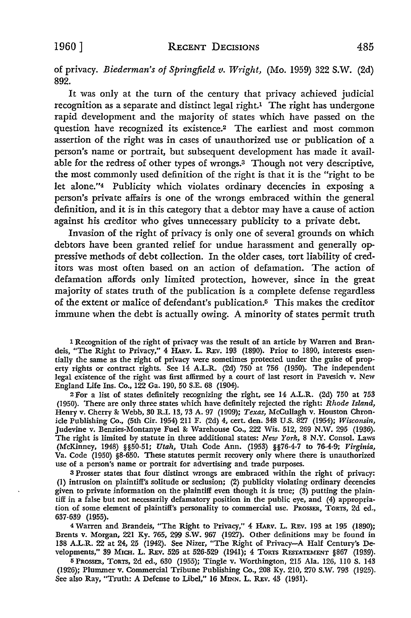of privacy. *Biederman's of Springfield v. Wright,* (Mo. 1959) 322 S.W. (2d) 892.

It was only at the turn of the century that privacy achieved judicial recognition as a separate and distinct legal right.<sup>1</sup> The right has undergone rapid development and the majority of states which have passed on the question have recognized its existence.<sup>2</sup> The earliest and most common assertion of the right was in cases of unauthorized use or publication of a person's name or portrait, but subsequent development has made it available for the redress of other types of wrongs.3 Though not very descriptive, the most commonly used definition of the right is that it is the "right to be let alone."4 Publicity which violates ordinary decencies in exposing a person's private affairs is one of the wrongs embraced within the general definition, and it is in this category that a debtor may have a cause of action against his creditor who gives unnecessary publicity to a private debt.

Invasion of the right of privacy is only one of several grounds on which debtors have been granted relief for undue harassment and generally oppressive methods of debt collection. In the older cases, tort liability of creditors was most often based on an action of defamation. The action of defamation affords only limited protection, however, since in the great majority of states truth of the publication is a complete defense regardless of the extent or malice of defendant's publication.5 This makes the creditor immune when the debt is actually owing. A minority of states permit truth

1 Recognition of the right of privacy was the result of an article by Warren and Bran• deis, "The Right to Privacy," 4 HARV. L. REv. 193 (1890). Prior to 1890, interests essentially the same as the right of privacy were sometimes protected under the guise of property rights or contract rights. See 14 A.L.R. (2d) 750 at 756 (1950). The independent legal existence of the right was first affirmed by a court of last resort in Pavesich v. New England Life Ins. Co., 122 Ga. 190, 50 S.E. 68 (1904).

<sup>2</sup>For a list of states definitely recognizing the right, see 14 A.L.R. (2d) 750 at 753 (1950). There are only three states which have definitely rejected the right: *Rhode Island,*  Henry v. Cherry &: Webb, 30 R.I. 13, 73 A. 97 (1909); *Texas,* McCullagh v. Houston Chronicle Publishing Co., (5th Cir. 1954) 211 F. (2d) 4, cert. den. 348 U.S. 827 (1954); *Wisconsin,*  Judevine v. Benzies-Montanye Fuel&: Warehouse Co., 222 Wis. 512, 269 N.W. 295 (1936). The right is limited by statute in three additional states: *New York,* 8 N.Y. Consol. Laws (McKinney, 1948) §§50-51; *Utah,* Utah Code Ann. (1953) §§76-4-7 to 76-4-9; *Virginia,*  Va. Code (1950) §8-650. These statutes permit recovery only where there is unauthorized use of a person's name or portrait for advertising and trade purposes.

<sup>3</sup>Prosser states that four distinct wrongs are embraced within the right of privacy: (l) intrusion on plaintiff's solitude or seclusion; (2) publicity violating ordinary decencies given to private information on the plaintiff even though it is true; (3) putting the plaintiff in a false but not necessarily defamatory position in the public eye, and (4) appropriation of some element of plaintiff's personality to commercial use. PROSSER, TORTS, 2d ed., 637-639 (1955).

<sup>4</sup>Warren and Brandeis, "The Right to Privacy," 4 HARv. L. REv. 193 at 195 (1890); Brents v. Morgan, 221 Ky. 765, 299 S.W. 967 (1927). Other definitions may be found in 138 A.L.R. 22 at 24, 25 (1942). See Nizer, "The Right of Privacy-A Half Century's Developments," 39 MICH. L. REv. 526 at 526-529 (1941); 4 TORTS RESTATEMENT §867 (1939).

<sup>5</sup>PROSSER, TORTS, 2d ed., 630 (1955); Tingle v. Worthington, 215 Ala. 126, 110 s. 143 (1926); Plummer v. Commercial Tribune Publishing Co., 208 Ky. 210, 270 S.W. 793 (1925). See also Ray, "Truth: A Defense to Libel," 16 MINN. L. REV. 43 (1931).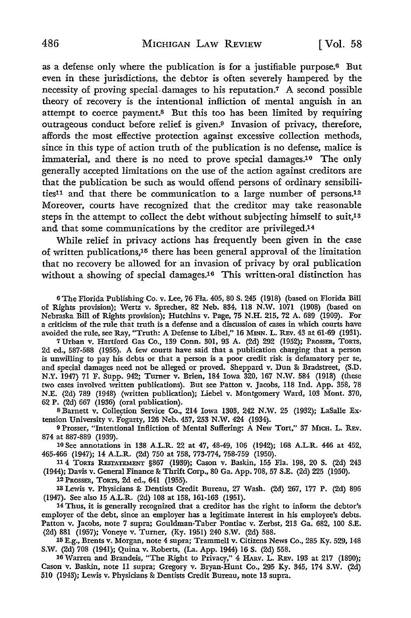as a defense only where the publication is for a justifiable purpose.<sup>6</sup> But even in these jurisdictions, the debtor is often severely hampered by the necessity of proving special-damages to his reputation.7 A second possible theory of recovery is the intentional infliction of mental anguish in an attempt to coerce payment.<sup>8</sup> But this too has been limited by requiring outrageous conduct before relief is given.9 Invasion of privacy, therefore, affords the most effective protection against excessive collection methods, since in this type of action truth of the publication is no defense, malice is immaterial, and there is no need to prove special damages.10 The only generally accepted limitations on the use of the action against creditors are that the publication be such as would offend persons of ordinary sensibilities11 and that there be communication to a large number of persons.12 Moreover, courts have recognized that the creditor may take reasonable steps in the attempt to collect the debt without subjecting himself to suit,<sup>13</sup> and that some communications by the creditor are privileged.14

While relief in privacy actions has frequently been given in the case of written publications,15 there has been general approval of the limitation that no recovery be allowed for an invasion of privacy by oral publication without a showing of special damages.16 This written-oral distinction has

<sup>G</sup>The Florida Publishing Co. v. Lee, 76 Fla. 405, 80 S. 245 (1918) (based on Florida Bill of Rights provision); Wertz v. Sprecher, 82 Neb. 834, 118 N.W. 1071 (1908) (based on Nebraska Bill of Rights provision); Hutchins v. Page, 75 N.H. 215, 72 A. 689 (1909). For a criticism of the rule that truth is a defense and a discussion of cases in which courts have avoided the rule, see Ray, "Truth: A Defense to Libel," 16 MINN. L. REv. 43 at 61-69 (1931).

7 Urban v. Hartford Gas Co., 139 Conn. 301, 93 A. (2d) 292 (1952); PROSSER, TORTS, 2d ed., 587-588 (1955). A few courts have said that a publication charging that a person is unwilling to pay his debts or that a person is a poor credit risk is defamatory per se, and special damages need not be alleged or proved. Sheppard v. Dun 8: Bradstreet, (S.D. N.Y. 1947) 71 F. Supp. 942; Turner v. Brien, 184 Iowa 320, 167 N.W. 584 (1918) (these two cases involved written publications). But see Patton v. Jacobs, 118 Ind. App. 358, 78 N.E. {2d) 789 (1948) (written publication); Liebel v. Montgomery Ward, 103 Mont. 370, 62 P. (2d) 667 (1936) (oral publication).

8 Barnett v. Collection Service Co., 214 Iowa 1303, 242 N.W. 25 (1932); LaSalle Extension University v. Fogarty, 126 Neb. 457, 253 N.W. 424 (1934).

<sup>9</sup>Prosser, "Intentional Infliction of Mental Suffering: A New Tort," 37 MICH. L. REv. 874 at 887-889 (1939).

10 See annotations in 138 A.L.R. 22 at 47, 48-49, 106 (1942); 168 A.L.R. 446 at 452, 465-466 (1947); 14 A.L.R. (2d) 750 at 758, 773-774, 758-759 (1950).

11 4 TORTS REsTATEMENT §867 (1939); Cason v. Baskin, 155 Fla. 198, 20 s. (2d) 243 (1944); Davis v. General Finance 8: Thrift Corp., 80 Ga. App. 708, 57 S.E. (2d) 225 (1950).

12 PROSSER, TORTS, 2d ed., 641 (1955).

18 Lewis v. Physicians 8: Dentists Credit Bureau, 27 Wash. (2d) 267, 177 P. (2d) 896 (1947). See also 15 A.L.R. (2d) 108 at 158, 161-163 (1951).

14 Thus, it is generally recognized that a creditor has the right to inform the debtor's employer of the debt, since an employer has a legitimate interest in his employee's debts. Patton v. Jacobs, note 7 supra; Gouldman-Taber Pontiac v. Zerbst, 213 Ga. 682, 100 S.E. (2d) 881 (1957); Voneye v. Turner, (Ky. 1951) 240 S.W. (2d) 588.

15 E.g., Brents v. Morgan, note 4 supra; Trammell v. Citizens News Co., 285 Ky. 529, 148 S.W. (2d) 708 (1941); Quina v. Roberts, (La. App. 1944) 16 S. (2d) 558.

<sup>16</sup>Warren and Brandeis, "The Right to Privacy," 4 HARV. L. REv. 193 at 217 (1890); Cason v. Baskin, note 11 supra; Gregory v. Bryan-Hunt Co., 295 Ky. 345, 174 S.W. (2d) 510 (1943); Lewis v. Physicians 8: Dentists Credit Bureau, note 13 supra.